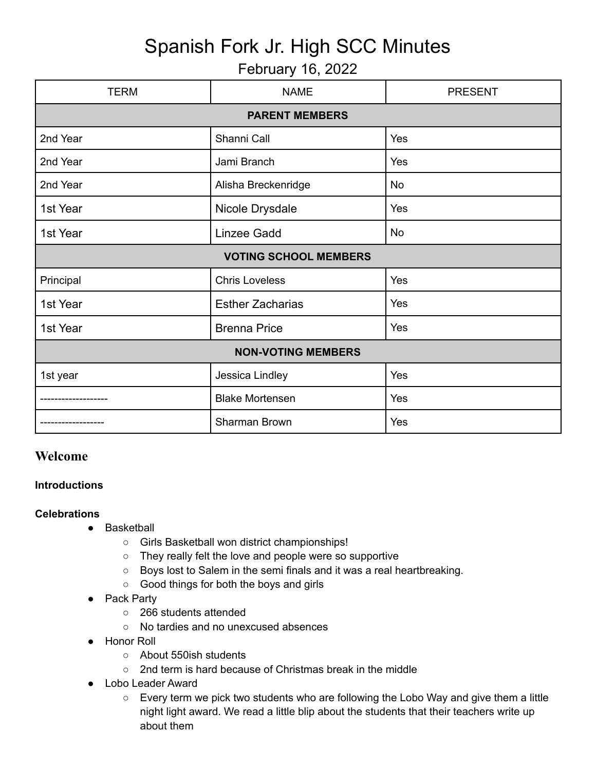# Spanish Fork Jr. High SCC Minutes

## February 16, 2022

| <b>TERM</b>                  | <b>NAME</b>             | <b>PRESENT</b> |
|------------------------------|-------------------------|----------------|
| <b>PARENT MEMBERS</b>        |                         |                |
| 2nd Year                     | Shanni Call             | Yes            |
| 2nd Year                     | Jami Branch             | Yes            |
| 2nd Year                     | Alisha Breckenridge     | <b>No</b>      |
| 1st Year                     | Nicole Drysdale         | Yes            |
| 1st Year                     | <b>Linzee Gadd</b>      | No             |
| <b>VOTING SCHOOL MEMBERS</b> |                         |                |
| Principal                    | <b>Chris Loveless</b>   | Yes            |
| 1st Year                     | <b>Esther Zacharias</b> | Yes            |
| 1st Year                     | <b>Brenna Price</b>     | Yes            |
| <b>NON-VOTING MEMBERS</b>    |                         |                |
| 1st year                     | Jessica Lindley         | Yes            |
|                              | <b>Blake Mortensen</b>  | Yes            |
|                              | <b>Sharman Brown</b>    | Yes            |

## **Welcome**

#### **Introductions**

#### **Celebrations**

- Basketball
	- Girls Basketball won district championships!
	- They really felt the love and people were so supportive
	- Boys lost to Salem in the semi finals and it was a real heartbreaking.
	- Good things for both the boys and girls
- Pack Party
	- 266 students attended
	- No tardies and no unexcused absences
- Honor Roll
	- About 550ish students
	- 2nd term is hard because of Christmas break in the middle
- Lobo Leader Award
	- Every term we pick two students who are following the Lobo Way and give them a little night light award. We read a little blip about the students that their teachers write up about them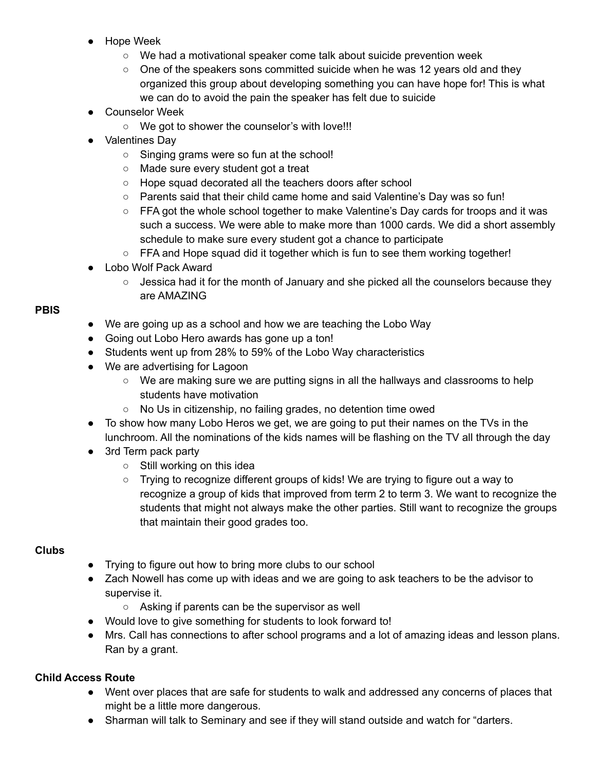- Hope Week
	- We had a motivational speaker come talk about suicide prevention week
	- $\circ$  One of the speakers sons committed suicide when he was 12 years old and they organized this group about developing something you can have hope for! This is what we can do to avoid the pain the speaker has felt due to suicide
- Counselor Week
	- We got to shower the counselor's with love!!!
- Valentines Day
	- Singing grams were so fun at the school!
	- Made sure every student got a treat
	- Hope squad decorated all the teachers doors after school
	- Parents said that their child came home and said Valentine's Day was so fun!
	- FFA got the whole school together to make Valentine's Day cards for troops and it was such a success. We were able to make more than 1000 cards. We did a short assembly schedule to make sure every student got a chance to participate
	- FFA and Hope squad did it together which is fun to see them working together!
- Lobo Wolf Pack Award
	- $\circ$  Jessica had it for the month of January and she picked all the counselors because they are AMAZING

#### **PBIS**

- We are going up as a school and how we are teaching the Lobo Way
- Going out Lobo Hero awards has gone up a ton!
- Students went up from 28% to 59% of the Lobo Way characteristics
- We are advertising for Lagoon
	- $\circ$  We are making sure we are putting signs in all the hallways and classrooms to help students have motivation
	- No Us in citizenship, no failing grades, no detention time owed
- To show how many Lobo Heros we get, we are going to put their names on the TVs in the lunchroom. All the nominations of the kids names will be flashing on the TV all through the day
- 3rd Term pack party
	- Still working on this idea
	- $\circ$  Trying to recognize different groups of kids! We are trying to figure out a way to recognize a group of kids that improved from term 2 to term 3. We want to recognize the students that might not always make the other parties. Still want to recognize the groups that maintain their good grades too.

### **Clubs**

- Trying to figure out how to bring more clubs to our school
- Zach Nowell has come up with ideas and we are going to ask teachers to be the advisor to supervise it.
	- Asking if parents can be the supervisor as well
- Would love to give something for students to look forward to!
- Mrs. Call has connections to after school programs and a lot of amazing ideas and lesson plans. Ran by a grant.

#### **Child Access Route**

- Went over places that are safe for students to walk and addressed any concerns of places that might be a little more dangerous.
- Sharman will talk to Seminary and see if they will stand outside and watch for "darters.